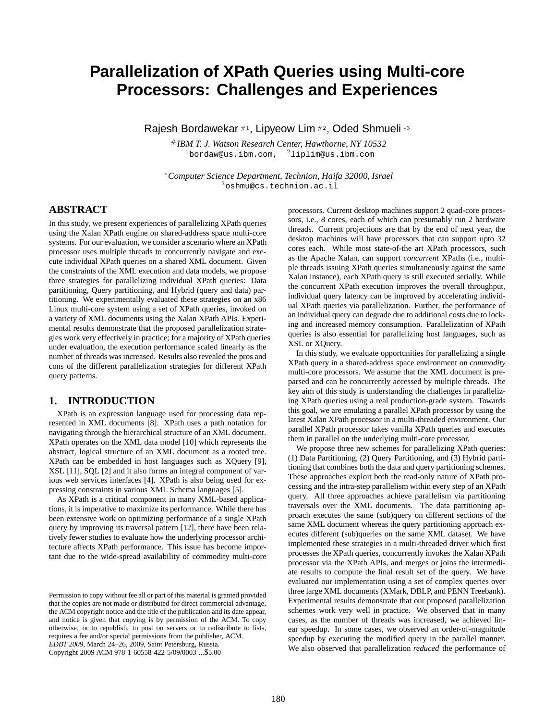# **Parallelization of XPath Queries using Multi-core Processors: Challenges and Experiences**

Rajesh Bordawekar #1, Lipyeow Lim #2, Oded Shmueli <sup>∗</sup><sup>3</sup>

#*IBM T. J. Watson Research Center, Hawthorne, NY 10532*  $^{1}$ bordaw@us.ibm.com,  $^{2}$ liplim@us.ibm.com

<sup>∗</sup>*Computer Science Department, Technion, Haifa 32000, Israel* <sup>3</sup>oshmu@cs.technion.ac.il

# **ABSTRACT**

In this study, we present experiences of parallelizing XPath queries using the Xalan XPath engine on shared-address space multi-core systems. For our evaluation, we consider a scenario where an XPath processor uses multiple threads to concurrently navigate and execute individual XPath queries on a shared XML document. Given the constraints of the XML execution and data models, we propose three strategies for parallelizing individual XPath queries: Data partitioning, Query partitioning, and Hybrid (query and data) partitioning. We experimentally evaluated these strategies on an x86 Linux multi-core system using a set of XPath queries, invoked on a variety of XML documents using the Xalan XPath APIs. Experimental results demonstrate that the proposed parallelization strategies work very effectively in practice; for a majority of XPath queries under evaluation, the execution performance scaled linearly as the number of threads was increased. Results also revealed the pros and cons of the different parallelization strategies for different XPath query patterns.

# **1. INTRODUCTION**

XPath is an expression language used for processing data represented in XML documents [8]. XPath uses a path notation for navigating through the hierarchical structure of an XML document. XPath operates on the XML data model [10] which represents the abstract, logical structure of an XML document as a rooted tree. XPath can be embedded in host languages such as XQuery [9], XSL [11], SQL [2] and it also forms an integral component of various web services interfaces [4]. XPath is also being used for expressing constraints in various XML Schema languages [5].

As XPath is a critical component in many XML-based applications, it is imperative to maximize its performance. While there has been extensive work on optimizing performance of a single XPath query by improving its traversal pattern [12], there have been relatively fewer studies to evaluate how the underlying processor architecture affects XPath performance. This issue has become important due to the wide-spread availability of commodity multi-core

Copyright 2009 ACM 978-1-60558-422-5/09/0003 ...\$5.00

processors. Current desktop machines support 2 quad-core processors, i.e., 8 cores, each of which can presumably run 2 hardware threads. Current projections are that by the end of next year, the desktop machines will have processors that can support upto 32 cores each. While most state-of-the art XPath processors, such as the Apache Xalan, can support *concurrent* XPaths (i.e., multiple threads issuing XPath queries simultaneously against the same Xalan instance), each XPath query is still executed serially. While the concurrent XPath execution improves the overall throughput, individual query latency can be improved by accelerating individual XPath queries via parallelization. Further, the performance of an individual query can degrade due to additional costs due to locking and increased memory consumption. Parallelization of XPath queries is also essential for parallelizing host languages, such as XSL or XQuery.

In this study, we evaluate opportunities for parallelizing a single XPath query in a shared-address space environment on *commodity* multi-core processors. We assume that the XML document is preparsed and can be concurrently accessed by multiple threads. The key aim of this study is understanding the challenges in parallelizing XPath queries using a real production-grade system. Towards this goal, we are emulating a parallel XPath processor by using the latest Xalan XPath processor in a multi-threaded environment. Our parallel XPath processor takes vanilla XPath queries and executes them in parallel on the underlying multi-core processor.

We propose three new schemes for parallelizing XPath queries: (1) Data Partitioning, (2) Query Partitioning, and (3) Hybrid partitioning that combines both the data and query partitioning schemes. These approaches exploit both the read-only nature of XPath processing and the intra-step parallelism within every step of an XPath query. All three approaches achieve parallelism via partitioning traversals over the XML documents. The data partitioning approach executes the same (sub)query on different sections of the same XML document whereas the query partitioning approach executes different (sub)queries on the same XML dataset. We have implemented these strategies in a multi-threaded driver which first processes the XPath queries, concurrently invokes the Xalan XPath processor via the XPath APIs, and merges or joins the intermediate results to compute the final result set of the query. We have evaluated our implementation using a set of complex queries over three large XML documents (XMark, DBLP, and PENN Treebank). Experimental results demonstrate that our proposed parallelization schemes work very well in practice. We observed that in many cases, as the number of threads was increased, we achieved linear speedup. In some cases, we observed an order-of-magnitude speedup by executing the modified query in the parallel manner. We also observed that parallelization *reduced* the performance of

Permission to copy without fee all or part of this material is granted provided that the copies are not made or distributed for direct commercial advantage, the ACM copyright notice and the title of the publication and its date appear, and notice is given that copying is by permission of the ACM. To copy otherwise, or to republish, to post on servers or to redistribute to lists, requires a fee and/or special permissions from the publisher, ACM. *EDBT 2009*, March 24–26, 2009, Saint Petersburg, Russia.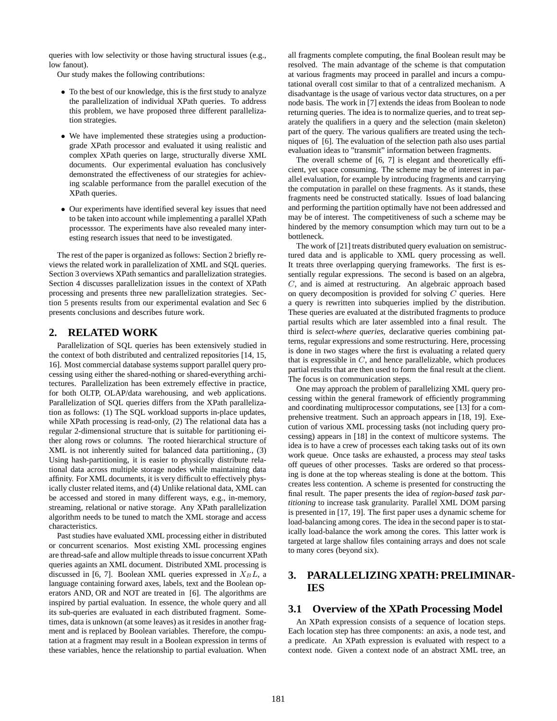queries with low selectivity or those having structural issues (e.g., low fanout).

Our study makes the following contributions:

- To the best of our knowledge, this is the first study to analyze the parallelization of individual XPath queries. To address this problem, we have proposed three different parallelization strategies.
- We have implemented these strategies using a productiongrade XPath processor and evaluated it using realistic and complex XPath queries on large, structurally diverse XML documents. Our experimental evaluation has conclusively demonstrated the effectiveness of our strategies for achieving scalable performance from the parallel execution of the XPath queries.
- Our experiments have identified several key issues that need to be taken into account while implementing a parallel XPath processsor. The experiments have also revealed many interesting research issues that need to be investigated.

The rest of the paper is organized as follows: Section 2 briefly reviews the related work in parallelization of XML and SQL queries. Section 3 overviews XPath semantics and parallelization strategies. Section 4 discusses parallelization issues in the context of XPath processing and presents three new parallelization strategies. Section 5 presents results from our experimental evalation and Sec 6 presents conclusions and describes future work.

## **2. RELATED WORK**

Parallelization of SQL queries has been extensively studied in the context of both distributed and centralized repositories [14, 15, 16]. Most commercial database systems support parallel query processing using either the shared-nothing or shared-everything architectures. Parallelization has been extremely effective in practice, for both OLTP, OLAP/data warehousing, and web applications. Parallelization of SQL queries differs from the XPath parallelization as follows: (1) The SQL workload supports in-place updates, while XPath processing is read-only, (2) The relational data has a regular 2-dimensional structure that is suitable for partitioning either along rows or columns. The rooted hierarchical structure of XML is not inherently suited for balanced data partitioning., (3) Using hash-partitioning, it is easier to physically distribute relational data across multiple storage nodes while maintaining data affinity. For XML documents, it is very difficult to effectively physically cluster related items, and (4) Unlike relational data, XML can be accessed and stored in many different ways, e.g., in-memory, streaming, relational or native storage. Any XPath parallelization algorithm needs to be tuned to match the XML storage and access characteristics.

Past studies have evaluated XML processing either in distributed or concurrent scenarios. Most existing XML processing engines are thread-safe and allow multiple threads to issue concurrent XPath queries againts an XML document. Distributed XML processing is discussed in [6, 7]. Boolean XML queries expressed in  $X_B L$ , a language containing forward axes, labels, text and the Boolean operators AND, OR and NOT are treated in [6]. The algorithms are inspired by partial evaluation. In essence, the whole query and all its sub-queries are evaluated in each distributed fragment. Sometimes, data is unknown (at some leaves) as it resides in another fragment and is replaced by Boolean variables. Therefore, the computation at a fragment may result in a Boolean expression in terms of these variables, hence the relationship to partial evaluation. When all fragments complete computing, the final Boolean result may be resolved. The main advantage of the scheme is that computation at various fragments may proceed in parallel and incurs a computational overall cost similar to that of a centralized mechanism. A disadvantage is the usage of various vector data structures, on a per node basis. The work in [7] extends the ideas from Boolean to node returning queries. The idea is to normalize queries, and to treat separately the qualifiers in a query and the selection (main skeleton) part of the query. The various qualifiers are treated using the techniques of [6]. The evaluation of the selection path also uses partial evaluation ideas to "transmit" information between fragments.

The overall scheme of [6, 7] is elegant and theoretically efficient, yet space consuming. The scheme may be of interest in parallel evaluation, for example by introducing fragments and carrying the computation in parallel on these fragments. As it stands, these fragments need be constructed statically. Issues of load balancing and performing the partition optimally have not been addressed and may be of interest. The competitiveness of such a scheme may be hindered by the memory consumption which may turn out to be a bottleneck.

The work of [21] treats distributed query evaluation on semistructured data and is applicable to XML query processing as well. It treats three overlapping querying frameworks. The first is essentially regular expressions. The second is based on an algebra, C, and is aimed at restructuring. An algebraic approach based on query decomposition is provided for solving  $C$  queries. Here a query is rewritten into subqueries implied by the distribution. These queries are evaluated at the distributed fragments to produce partial results which are later assembled into a final result. The third is *select-where queries*, declarative queries combining patterns, regular expressions and some restructuring. Here, processing is done in two stages where the first is evaluating a related query that is expressible in  $C$ , and hence parallelizable, which produces partial results that are then used to form the final result at the client. The focus is on communication steps.

One may approach the problem of parallelizing XML query processing within the general framework of efficiently programming and coordinating multiprocessor computations, see [13] for a comprehensive treatment. Such an approach appears in [18, 19]. Execution of various XML processing tasks (not including query processing) appears in [18] in the context of multicore systems. The idea is to have a crew of processes each taking tasks out of its own work queue. Once tasks are exhausted, a process may *steal* tasks off queues of other processes. Tasks are ordered so that processing is done at the top whereas stealing is done at the bottom. This creates less contention. A scheme is presented for constructing the final result. The paper presents the idea of *region-based task partitioning* to increase task granularity. Parallel XML DOM parsing is presented in [17, 19]. The first paper uses a dynamic scheme for load-balancing among cores. The idea in the second paper is to statically load-balance the work among the cores. This latter work is targeted at large shallow files containing arrays and does not scale to many cores (beyond six).

# **3. PARALLELIZING XPATH: PRELIMINAR-IES**

# **3.1 Overview of the XPath Processing Model**

An XPath expression consists of a sequence of location steps. Each location step has three components: an axis, a node test, and a predicate. An XPath expression is evaluated with respect to a context node. Given a context node of an abstract XML tree, an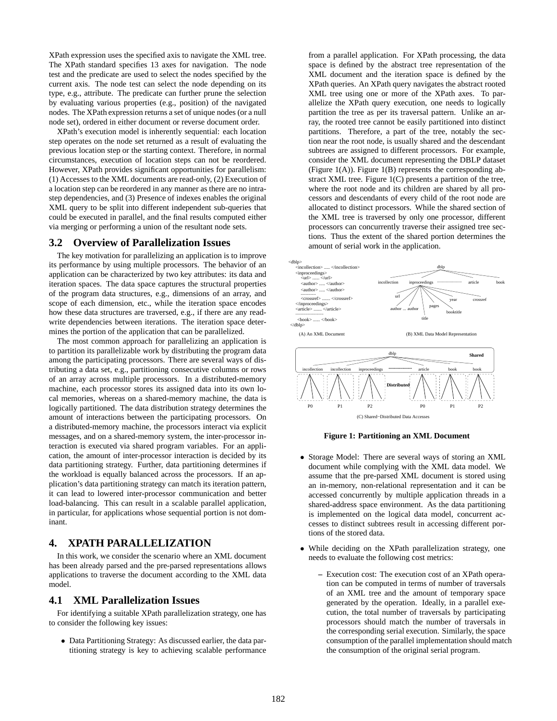XPath expression uses the specified axis to navigate the XML tree. The XPath standard specifies 13 axes for navigation. The node test and the predicate are used to select the nodes specified by the current axis. The node test can select the node depending on its type, e.g., attribute. The predicate can further prune the selection by evaluating various properties (e.g., position) of the navigated nodes. The XPath expression returns a set of unique nodes (or a null node set), ordered in either document or reverse document order.

XPath's execution model is inherently sequential: each location step operates on the node set returned as a result of evaluating the previous location step or the starting context. Therefore, in normal circumstances, execution of location steps can not be reordered. However, XPath provides significant opportunities for parallelism: (1) Accesses to the XML documents are read-only, (2) Execution of a location step can be reordered in any manner as there are no intrastep dependencies, and (3) Presence of indexes enables the original XML query to be split into different independent sub-queries that could be executed in parallel, and the final results computed either via merging or performing a union of the resultant node sets.

#### **3.2 Overview of Parallelization Issues**

The key motivation for parallelizing an application is to improve its performance by using multiple processors. The behavior of an application can be characterized by two key attributes: its data and iteration spaces. The data space captures the structural properties of the program data structures, e.g., dimensions of an array, and scope of each dimension, etc., while the iteration space encodes how these data structures are traversed, e.g., if there are any readwrite dependencies between iterations. The iteration space determines the portion of the application that can be parallelized.

The most common approach for parallelizing an application is to partition its parallelizable work by distributing the program data among the participating processors. There are several ways of distributing a data set, e.g., partitioning consecutive columns or rows of an array across multiple processors. In a distributed-memory machine, each processor stores its assigned data into its own local memories, whereas on a shared-memory machine, the data is logically partitioned. The data distribution strategy determines the amount of interactions between the participating processors. On a distributed-memory machine, the processors interact via explicit messages, and on a shared-memory system, the inter-processor interaction is executed via shared program variables. For an application, the amount of inter-processor interaction is decided by its data partitioning strategy. Further, data partitioning determines if the workload is equally balanced across the processors. If an application's data partitioning strategy can match its iteration pattern, it can lead to lowered inter-processor communication and better load-balancing. This can result in a scalable parallel application, in particular, for applications whose sequential portion is not dominant.

## **4. XPATH PARALLELIZATION**

In this work, we consider the scenario where an XML document has been already parsed and the pre-parsed representations allows applications to traverse the document according to the XML data model.

#### **4.1 XML Parallelization Issues**

For identifying a suitable XPath parallelization strategy, one has to consider the following key issues:

• Data Partitioning Strategy: As discussed earlier, the data partitioning strategy is key to achieving scalable performance

from a parallel application. For XPath processing, the data space is defined by the abstract tree representation of the XML document and the iteration space is defined by the XPath queries. An XPath query navigates the abstract rooted XML tree using one or more of the XPath axes. To parallelize the XPath query execution, one needs to logically partition the tree as per its traversal pattern. Unlike an array, the rooted tree cannot be easily partitioned into distinct partitions. Therefore, a part of the tree, notably the section near the root node, is usually shared and the descendant subtrees are assigned to different processors. For example, consider the XML document representing the DBLP dataset (Figure 1(A)). Figure 1(B) represents the corresponding abstract XML tree. Figure 1(C) presents a partition of the tree, where the root node and its children are shared by all processors and descendants of every child of the root node are allocated to distinct processors. While the shared section of the XML tree is traversed by only one processor, different processors can concurrently traverse their assigned tree sections. Thus the extent of the shared portion determines the amount of serial work in the application.



**Figure 1: Partitioning an XML Document**

- Storage Model: There are several ways of storing an XML document while complying with the XML data model. We assume that the pre-parsed XML document is stored using an in-memory, non-relational representation and it can be accessed concurrently by multiple application threads in a shared-address space environment. As the data partitioning is implemented on the logical data model, concurrent accesses to distinct subtrees result in accessing different portions of the stored data.
- While deciding on the XPath parallelization strategy, one needs to evaluate the following cost metrics:
	- **–** Execution cost: The execution cost of an XPath operation can be computed in terms of number of traversals of an XML tree and the amount of temporary space generated by the operation. Ideally, in a parallel execution, the total number of traversals by participating processors should match the number of traversals in the corresponding serial execution. Similarly, the space consumption of the parallel implementation should match the consumption of the original serial program.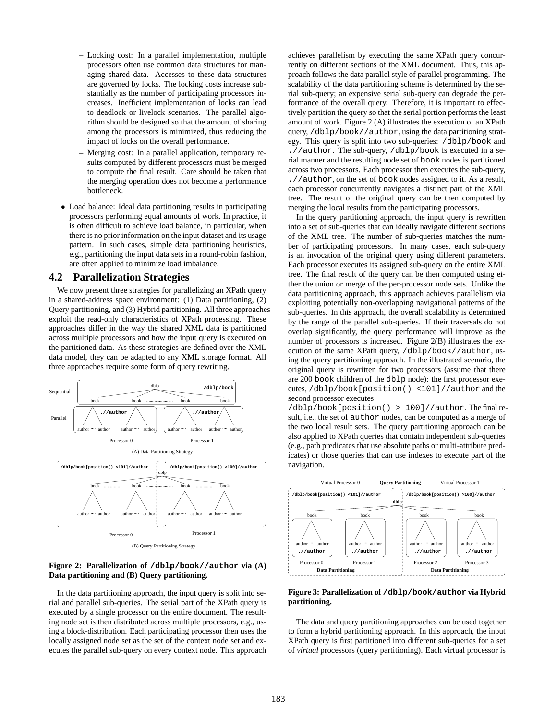- **–** Locking cost: In a parallel implementation, multiple processors often use common data structures for managing shared data. Accesses to these data structures are governed by locks. The locking costs increase substantially as the number of participating processors increases. Inefficient implementation of locks can lead to deadlock or livelock scenarios. The parallel algorithm should be designed so that the amount of sharing among the processors is minimized, thus reducing the impact of locks on the overall performance.
- **–** Merging cost: In a parallel application, temporary results computed by different processors must be merged to compute the final result. Care should be taken that the merging operation does not become a performance bottleneck.
- Load balance: Ideal data partitioning results in participating processors performing equal amounts of work. In practice, it is often difficult to achieve load balance, in particular, when there is no prior information on the input dataset and its usage pattern. In such cases, simple data partitioning heuristics, e.g., partitioning the input data sets in a round-robin fashion, are often applied to minimize load imbalance.

## **4.2 Parallelization Strategies**

We now present three strategies for parallelizing an XPath query in a shared-address space environment: (1) Data partitioning, (2) Query partitioning, and (3) Hybrid partitioning. All three approaches exploit the read-only characteristics of XPath processing. These approaches differ in the way the shared XML data is partitioned across multiple processors and how the input query is executed on the partitioned data. As these strategies are defined over the XML data model, they can be adapted to any XML storage format. All three approaches require some form of query rewriting.



(B) Query Partitioning Strategy

#### **Figure 2: Parallelization of /dblp/book//author via (A) Data partitioning and (B) Query partitioning.**

In the data partitioning approach, the input query is split into serial and parallel sub-queries. The serial part of the XPath query is executed by a single processor on the entire document. The resulting node set is then distributed across multiple processors, e.g., using a block-distribution. Each participating processor then uses the locally assigned node set as the set of the context node set and executes the parallel sub-query on every context node. This approach achieves parallelism by executing the same XPath query concurrently on different sections of the XML document. Thus, this approach follows the data parallel style of parallel programming. The scalability of the data partitioning scheme is determined by the serial sub-query; an expensive serial sub-query can degrade the performance of the overall query. Therefore, it is important to effectively partition the query so that the serial portion performs the least amount of work. Figure 2 (A) illustrates the execution of an XPath query, /dblp/book//author, using the data partitioning strategy. This query is split into two sub-queries: /dblp/book and .//author. The sub-query, /dblp/book is executed in a serial manner and the resulting node set of book nodes is partitioned across two processors. Each processor then executes the sub-query, .//author, on the set of book nodes assigned to it. As a result, each processor concurrently navigates a distinct part of the XML tree. The result of the original query can be then computed by merging the local results from the participating processors.

In the query partitioning approach, the input query is rewritten into a set of sub-queries that can ideally navigate different sections of the XML tree. The number of sub-queries matches the number of participating processors. In many cases, each sub-query is an invocation of the original query using different parameters. Each processor executes its assigned sub-query on the entire XML tree. The final result of the query can be then computed using either the union or merge of the per-processor node sets. Unlike the data partitioning approach, this approach achieves parallelism via exploiting potentially non-overlapping navigational patterns of the sub-queries. In this approach, the overall scalability is determined by the range of the parallel sub-queries. If their traversals do not overlap significantly, the query performance will improve as the number of processors is increased. Figure 2(B) illustrates the execution of the same XPath query, /dblp/book//author, using the query partitioning approach. In the illustrated scenario, the original query is rewritten for two processors (assume that there are 200 book children of the dblp node): the first processor executes, /dblp/book[position() <101]//author and the second processor executes

/dblp/book[position() > 100]//author. The final result, i.e., the set of author nodes, can be computed as a merge of the two local result sets. The query partitioning approach can be also applied to XPath queries that contain independent sub-queries (e.g., path predicates that use absolute paths or multi-attribute predicates) or those queries that can use indexes to execute part of the navigation.



#### **Figure 3: Parallelization of /dblp/book/author via Hybrid partitioning.**

The data and query partitioning approaches can be used together to form a hybrid partitioning approach. In this approach, the input XPath query is first partitioned into different sub-queries for a set of *virtual* processors (query partitioning). Each virtual processor is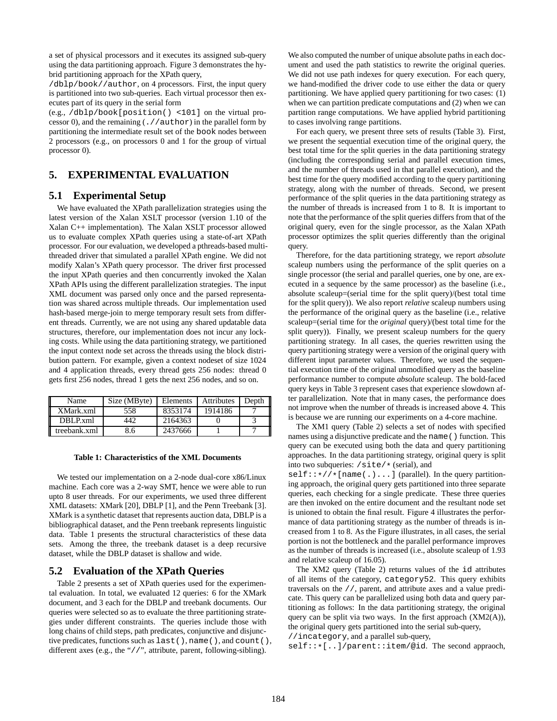a set of physical processors and it executes its assigned sub-query using the data partitioning approach. Figure 3 demonstrates the hybrid partitioning approach for the XPath query,

/dblp/book//author, on 4 processors. First, the input query is partitioned into two sub-queries. Each virtual processor then executes part of its query in the serial form

(e.g., /dblp/book[position() <101] on the virtual processor 0), and the remaining  $(.//author)$  in the parallel form by partitioning the intermediate result set of the book nodes between 2 processors (e.g., on processors 0 and 1 for the group of virtual processor 0).

# **5. EXPERIMENTAL EVALUATION**

# **5.1 Experimental Setup**

We have evaluated the XPath parallelization strategies using the latest version of the Xalan XSLT processor (version 1.10 of the Xalan C++ implementation). The Xalan XSLT processor allowed us to evaluate complex XPath queries using a state-of-art XPath processor. For our evaluation, we developed a pthreads-based multithreaded driver that simulated a parallel XPath engine. We did not modify Xalan's XPath query processor. The driver first processed the input XPath queries and then concurrently invoked the Xalan XPath APIs using the different parallelization strategies. The input XML document was parsed only once and the parsed representation was shared across multiple threads. Our implementation used hash-based merge-join to merge temporary result sets from different threads. Currently, we are not using any shared updatable data structures, therefore, our implementation does not incur any locking costs. While using the data partitioning strategy, we partitioned the input context node set across the threads using the block distribution pattern. For example, given a context nodeset of size 1024 and 4 application threads, every thread gets 256 nodes: thread 0 gets first 256 nodes, thread 1 gets the next 256 nodes, and so on.

| Name         | Size (MByte) | Elements | <b>Attributes</b> | Depth |
|--------------|--------------|----------|-------------------|-------|
| XMark xml    | 558          | 8353174  | 1914186           |       |
| DBLP.xml     | 442          | 2164363  |                   |       |
| treebank.xml | 8.6          | 2437666  |                   |       |

#### **Table 1: Characteristics of the XML Documents**

We tested our implementation on a 2-node dual-core x86/Linux machine. Each core was a 2-way SMT, hence we were able to run upto 8 user threads. For our experiments, we used three different XML datasets: XMark [20], DBLP [1], and the Penn Treebank [3]. XMark is a synthetic dataset that represents auction data, DBLP is a bibliographical dataset, and the Penn treebank represents linguistic data. Table 1 presents the structural characteristics of these data sets. Among the three, the treebank dataset is a deep recursive dataset, while the DBLP dataset is shallow and wide.

#### **5.2 Evaluation of the XPath Queries**

Table 2 presents a set of XPath queries used for the experimental evaluation. In total, we evaluated 12 queries: 6 for the XMark document, and 3 each for the DBLP and treebank documents. Our queries were selected so as to evaluate the three partitioning strategies under different constraints. The queries include those with long chains of child steps, path predicates, conjunctive and disjunctive predicates, functions such as last(), name(), and count(), different axes (e.g., the "//", attribute, parent, following-sibling).

We also computed the number of unique absolute paths in each document and used the path statistics to rewrite the original queries. We did not use path indexes for query execution. For each query, we hand-modified the driver code to use either the data or query partitioning. We have applied query partitioning for two cases: (1) when we can partition predicate computations and (2) when we can partition range computations. We have applied hybrid partitioning to cases involving range partitions.

For each query, we present three sets of results (Table 3). First, we present the sequential execution time of the original query, the best total time for the split queries in the data partitioning strategy (including the corresponding serial and parallel execution times, and the number of threads used in that parallel execution), and the best time for the query modified according to the query partitioning strategy, along with the number of threads. Second, we present performance of the split queries in the data partitioning strategy as the number of threads is increased from 1 to 8. It is important to note that the performance of the split queries differs from that of the original query, even for the single processor, as the Xalan XPath processor optimizes the split queries differently than the original query.

Therefore, for the data partitioning strategy, we report *absolute* scaleup numbers using the performance of the split queries on a single processor (the serial and parallel queries, one by one, are executed in a sequence by the same processor) as the baseline (i.e., absolute scaleup=(serial time for the split query)/(best total time for the split query)). We also report *relative* scaleup numbers using the performance of the original query as the baseline (i.e., relative scaleup=(serial time for the *original* query)/(best total time for the split query)). Finally, we present scaleup numbers for the query partitioning strategy. In all cases, the queries rewritten using the query partitioning strategy were a version of the original query with different input parameter values. Therefore, we used the sequential execution time of the original unmodified query as the baseline performance number to compute *absolute* scaleup. The bold-faced query keys in Table 3 represent cases that experience slowdown after parallelization. Note that in many cases, the performance does not improve when the number of threads is increased above 4. This is because we are running our experiments on a 4-core machine.

The XM1 query (Table 2) selects a set of nodes with specified names using a disjunctive predicate and the name() function. This query can be executed using both the data and query partitioning approaches. In the data partitioning strategy, original query is split into two subqueries: /site/\* (serial), and

self::\*//\*[name(.)...] (parallel). In the query partitioning approach, the original query gets partitioned into three separate queries, each checking for a single predicate. These three queries are then invoked on the entire document and the resultant node set is unioned to obtain the final result. Figure 4 illustrates the performance of data partitioning strategy as the number of threads is increased from 1 to 8. As the Figure illustrates, in all cases, the serial portion is not the bottleneck and the parallel performance improves as the number of threads is increased (i.e., absolute scaleup of 1.93 and relative scaleup of 16.05).

The XM2 query (Table 2) returns values of the id attributes of all items of the category, category52. This query exhibits traversals on the //, parent, and attribute axes and a value predicate. This query can be parallelized using both data and query partitioning as follows: In the data partitioning strategy, the original query can be split via two ways. In the first approach (XM2(A)), the original query gets partitioned into the serial sub-query,

//incategory, and a parallel sub-query,

self::\*[..]/parent::item/@id. The second appraoch,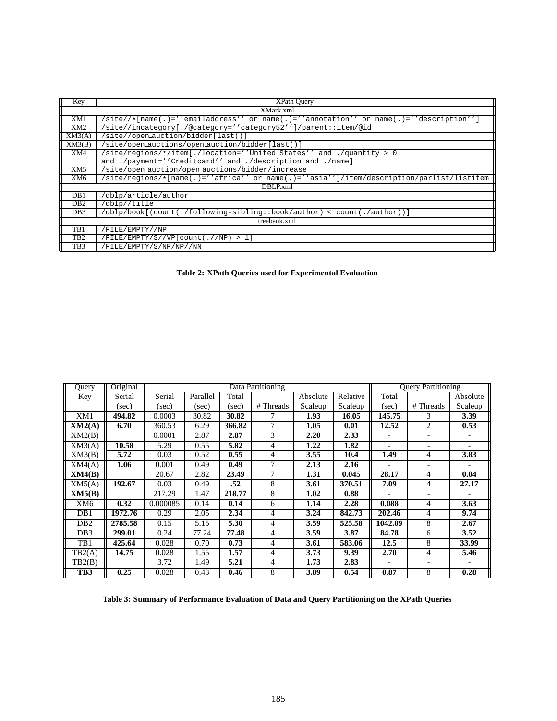| Key                 | <b>XPath Query</b>                                                                               |  |  |  |  |  |  |
|---------------------|--------------------------------------------------------------------------------------------------|--|--|--|--|--|--|
|                     | XMark.xml                                                                                        |  |  |  |  |  |  |
| XM1                 | $\sqrt{s}$ ite//*[name(.)=''emailaddress'' or name(.)=''annotation'' or name(.)=''description''] |  |  |  |  |  |  |
| XM2                 | /site//incategory[./@category=''category52'']/parent::item/@id                                   |  |  |  |  |  |  |
| $\overline{XM3(A)}$ | /site//open_auction/bidder[last()]                                                               |  |  |  |  |  |  |
| $\overline{XM}3(B)$ | /site/open_auctions/open_auction/bidder[last()]                                                  |  |  |  |  |  |  |
| XM4                 | /site/regions/*/item[./location=''United States'' and ./quantity > 0                             |  |  |  |  |  |  |
|                     | and ./payment=''Creditcard'' and ./description and ./name]                                       |  |  |  |  |  |  |
| XM5                 | site/open.auction/open.auctions/bidder/increase/                                                 |  |  |  |  |  |  |
| XM6                 | /site/regions/*[name(.)=''africa'' or name(.)=''asia'']/item/description/parlist/listitem        |  |  |  |  |  |  |
|                     | DBLP.xml                                                                                         |  |  |  |  |  |  |
| DB1                 | /dblp/article/author                                                                             |  |  |  |  |  |  |
| DB2                 | /dblp//title                                                                                     |  |  |  |  |  |  |
| DB <sub>3</sub>     | /dblp/book[(count(./following-sibling::book/author) < count(./author))]                          |  |  |  |  |  |  |
|                     | treebank.xml                                                                                     |  |  |  |  |  |  |
| TB <sub>1</sub>     | /FILE/EMPTY//NP                                                                                  |  |  |  |  |  |  |
| T <sub>B</sub> 2    | /FILE/EMPTY/S//VP[count(.//NP) > 1]                                                              |  |  |  |  |  |  |
| TB <sub>3</sub>     | FILE/EMPTY/S/NP/NP//NN                                                                           |  |  |  |  |  |  |

**Table 2: XPath Queries used for Experimental Evaluation**

| Query            | Original | Data Partitioning |          |        |           | <b>Ouery Partitioning</b> |          |         |                |          |
|------------------|----------|-------------------|----------|--------|-----------|---------------------------|----------|---------|----------------|----------|
| Key              | Serial   | Serial            | Parallel | Total  |           | Absolute                  | Relative | Total   |                | Absolute |
|                  | (sec)    | (sec)             | (sec)    | (sec)  | # Threads | Scaleup                   | Scaleup  | (sec)   | # Threads      | Scaleup  |
| XM1              | 494.82   | 0.0003            | 30.82    | 30.82  |           | 1.93                      | 16.05    | 145.75  | 3              | 3.39     |
| XM2(A)           | 6.70     | 360.53            | 6.29     | 366.82 | 7         | 1.05                      | 0.01     | 12.52   | $\overline{c}$ | 0.53     |
| XM2(B)           |          | 0.0001            | 2.87     | 2.87   | 3         | 2.20                      | 2.33     |         |                |          |
| XM3(A)           | 10.58    | 5.29              | 0.55     | 5.82   | 4         | 1.22                      | 1.82     |         | -              |          |
| XM3(B)           | 5.72     | 0.03              | 0.52     | 0.55   | 4         | 3.55                      | 10.4     | 1.49    | 4              | 3.83     |
| XM4(A)           | 1.06     | 0.001             | 0.49     | 0.49   | 7         | 2.13                      | 2.16     |         |                |          |
| XM4(B)           |          | 20.67             | 2.82     | 23.49  | 7         | 1.31                      | 0.045    | 28.17   | 4              | 0.04     |
| XM5(A)           | 192.67   | 0.03              | 0.49     | .52    | 8         | 3.61                      | 370.51   | 7.09    | 4              | 27.17    |
| XM5(B)           |          | 217.29            | 1.47     | 218.77 | 8         | 1.02                      | 0.88     |         |                |          |
| XM6              | 0.32     | 0.000085          | 0.14     | 0.14   | 6         | 1.14                      | 2.28     | 0.088   | 4              | 3.63     |
| D <sub>B</sub> 1 | 1972.76  | 0.29              | 2.05     | 2.34   | 4         | 3.24                      | 842.73   | 202.46  | 4              | 9.74     |
| D <sub>B</sub> 2 | 2785.58  | 0.15              | 5.15     | 5.30   | 4         | 3.59                      | 525.58   | 1042.09 | 8              | 2.67     |
| D <sub>B</sub> 3 | 299.01   | 0.24              | 77.24    | 77.48  | 4         | 3.59                      | 3.87     | 84.78   | 6              | 3.52     |
| TB1              | 425.64   | 0.028             | 0.70     | 0.73   | 4         | 3.61                      | 583.06   | 12.5    | 8              | 33.99    |
| TB2(A)           | 14.75    | 0.028             | 1.55     | 1.57   | 4         | 3.73                      | 9.39     | 2.70    | 4              | 5.46     |
| TB2(B)           |          | 3.72              | 1.49     | 5.21   | 4         | 1.73                      | 2.83     |         |                |          |
| TB3              | 0.25     | 0.028             | 0.43     | 0.46   | 8         | 3.89                      | 0.54     | 0.87    | 8              | 0.28     |

**Table 3: Summary of Performance Evaluation of Data and Query Partitioning on the XPath Queries**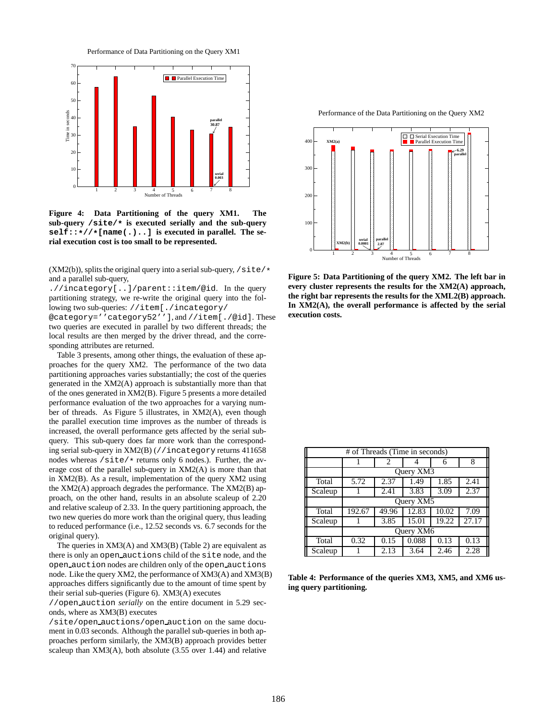Performance of Data Partitioning on the Query XM1



**Figure 4: Data Partitioning of the query XM1. The sub-query /site/\* is executed serially and the sub-query self::\*//\*[name(.)..] is executed in parallel. The serial execution cost is too small to be represented.**

(XM2(b)), splits the original query into a serial sub-query,  $\sqrt{\text{site}/\text{*}}$ and a parallel sub-query,

.//incategory[..]/parent::item/@id. In the query partitioning strategy, we re-write the original query into the following two sub-queries: //item[./incategory/

@category=''category52''], and //item[./@id]. These two queries are executed in parallel by two different threads; the local results are then merged by the driver thread, and the corresponding attributes are returned.

Table 3 presents, among other things, the evaluation of these approaches for the query XM2. The performance of the two data partitioning approaches varies substantially; the cost of the queries generated in the XM2(A) approach is substantially more than that of the ones generated in XM2(B). Figure 5 presents a more detailed performance evaluation of the two approaches for a varying number of threads. As Figure 5 illustrates, in XM2(A), even though the parallel execution time improves as the number of threads is increased, the overall performance gets affected by the serial subquery. This sub-query does far more work than the corresponding serial sub-query in XM2(B) (//incategory returns 411658 nodes whereas /site/\* returns only 6 nodes.). Further, the average cost of the parallel sub-query in XM2(A) is more than that in XM2(B). As a result, implementation of the query XM2 using the XM2(A) approach degrades the performance. The XM2(B) approach, on the other hand, results in an absolute scaleup of 2.20 and relative scaleup of 2.33. In the query partitioning approach, the two new queries do more work than the original query, thus leading to reduced performance (i.e., 12.52 seconds vs. 6.7 seconds for the original query).

The queries in XM3(A) and XM3(B) (Table 2) are equivalent as there is only an open auctions child of the site node, and the open auction nodes are children only of the open auctions node. Like the query XM2, the performance of XM3(A) and XM3(B) approaches differs significantly due to the amount of time spent by their serial sub-queries (Figure 6). XM3(A) executes

//open auction *serially* on the entire document in 5.29 seconds, where as XM3(B) executes

/site/open auctions/open auction on the same document in 0.03 seconds. Although the parallel sub-queries in both approaches perform similarly, the XM3(B) approach provides better scaleup than XM3(A), both absolute (3.55 over 1.44) and relative

Performance of the Data Partitioning on the Query XM2



**Figure 5: Data Partitioning of the query XM2. The left bar in every cluster represents the results for the XM2(A) approach, the right bar represents the results for the XML2(B) approach. In XM2(A), the overall performance is affected by the serial execution costs.**

| # of Threads (Time in seconds) |                  |                              |       |       |       |  |  |  |
|--------------------------------|------------------|------------------------------|-------|-------|-------|--|--|--|
|                                |                  | 2                            |       | 6     |       |  |  |  |
|                                | Query XM3        |                              |       |       |       |  |  |  |
| Total                          | 5.72             | 2.37<br>1.85<br>2.41<br>1.49 |       |       |       |  |  |  |
| Scaleup                        |                  | 2.37<br>3.09<br>2.41<br>3.83 |       |       |       |  |  |  |
|                                | <b>Ouery XM5</b> |                              |       |       |       |  |  |  |
| Total                          | 192.67           | 49.96                        | 12.83 | 10.02 | 7.09  |  |  |  |
| Scaleup                        |                  | 3.85                         | 15.01 | 19.22 | 27.17 |  |  |  |
|                                | Query XM6        |                              |       |       |       |  |  |  |
| Total                          | 0.32             | 0.15                         | 0.088 | 0.13  | 0.13  |  |  |  |
| Scaleup                        |                  | 2.13                         | 3.64  | 2.46  | 2.28  |  |  |  |

**Table 4: Performance of the queries XM3, XM5, and XM6 using query partitioning.**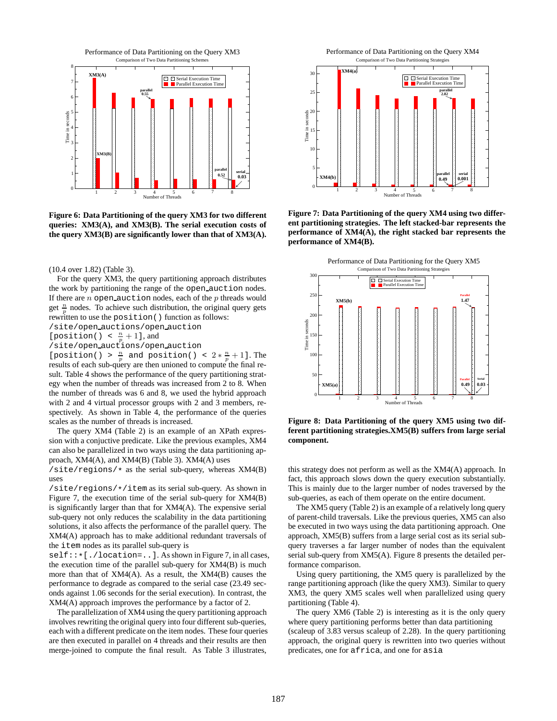

**Figure 6: Data Partitioning of the query XM3 for two different queries: XM3(A), and XM3(B). The serial execution costs of the query XM3(B) are significantly lower than that of XM3(A).**

(10.4 over 1.82) (Table 3).

For the query XM3, the query partitioning approach distributes the work by partitioning the range of the open auction nodes. If there are  $n$  open auction nodes, each of the  $p$  threads would get  $\frac{n}{p}$  nodes. To achieve such distribution, the original query gets rewritten to use the position() function as follows:

/site/open auctions/open auction

[position()  $\langle \frac{n}{p} + 1 \rangle$ , and

/site/open auctions/open auction

[position() >  $\frac{n}{p}$  and position() <  $2*\frac{n}{p}+1$ ]. The results of each sub-query are then unioned to compute the final result. Table 4 shows the performance of the query partitioning strategy when the number of threads was increased from 2 to 8. When the number of threads was 6 and 8, we used the hybrid approach with 2 and 4 virtual processor groups with 2 and 3 members, respectively. As shown in Table 4, the performance of the queries scales as the number of threads is increased.

The query XM4 (Table 2) is an example of an XPath expression with a conjuctive predicate. Like the previous examples, XM4 can also be parallelized in two ways using the data partitioning approach, XM4(A), and XM4(B) (Table 3). XM4(A) uses

 $\sqrt{\text{site}/\text{regions}/\text{#}}$  as the serial sub-query, whereas  $XM4(B)$ uses

/site/regions/\*/item as its serial sub-query. As shown in Figure 7, the execution time of the serial sub-query for XM4(B) is significantly larger than that for XM4(A). The expensive serial sub-query not only reduces the scalability in the data partitioning solutions, it also affects the performance of the parallel query. The XM4(A) approach has to make additional redundant traversals of the item nodes as its parallel sub-query is

 $self::*[./location=.].$  As shown in Figure 7, in all cases, the execution time of the parallel sub-query for XM4(B) is much more than that of XM4(A). As a result, the XM4(B) causes the performance to degrade as compared to the serial case (23.49 seconds against 1.06 seconds for the serial execution). In contrast, the XM4(A) approach improves the performance by a factor of 2.

The parallelization of XM4 using the query partitioning approach involves rewriting the original query into four different sub-queries, each with a different predicate on the item nodes. These four queries are then executed in parallel on 4 threads and their results are then merge-joined to compute the final result. As Table 3 illustrates,





**Figure 7: Data Partitioning of the query XM4 using two different partitioning strategies. The left stacked-bar represents the performance of XM4(A), the right stacked bar represents the performance of XM4(B).**



**Figure 8: Data Partitioning of the query XM5 using two different partitioning strategies.XM5(B) suffers from large serial component.**

this strategy does not perform as well as the XM4(A) approach. In fact, this approach slows down the query execution substantially. This is mainly due to the larger number of nodes traversed by the sub-queries, as each of them operate on the entire document.

The XM5 query (Table 2) is an example of a relatively long query of parent-child traversals. Like the previous queries, XM5 can also be executed in two ways using the data partitioning approach. One approach, XM5(B) suffers from a large serial cost as its serial subquery traverses a far larger number of nodes than the equivalent serial sub-query from XM5(A). Figure 8 presents the detailed performance comparison.

Using query partitioning, the XM5 query is parallelized by the range partitioning approach (like the query XM3). Similar to query XM3, the query XM5 scales well when parallelized using query partitioning (Table 4).

The query XM6 (Table 2) is interesting as it is the only query where query partitioning performs better than data partitioning (scaleup of 3.83 versus scaleup of 2.28). In the query partitioning approach, the original query is rewritten into two queries without predicates, one for africa, and one for asia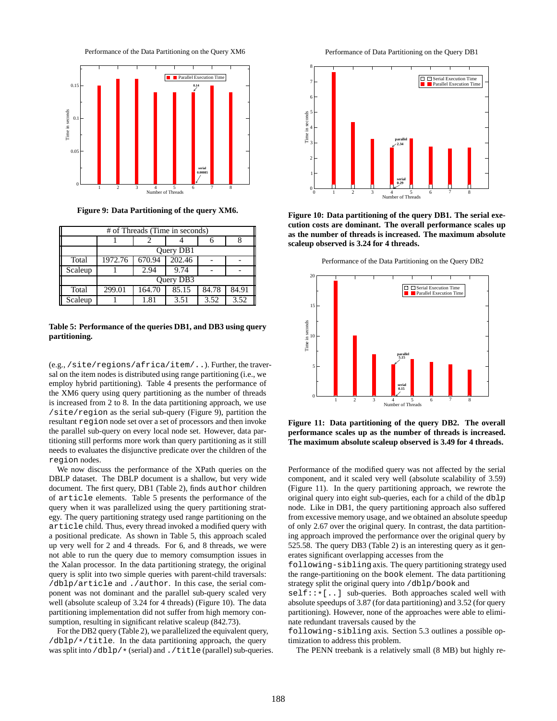Performance of the Data Partitioning on the Query XM6



**Figure 9: Data Partitioning of the query XM6.**

| # of Threads (Time in seconds) |           |                  |       |       |       |  |  |  |
|--------------------------------|-----------|------------------|-------|-------|-------|--|--|--|
|                                |           |                  |       |       |       |  |  |  |
|                                | Query DB1 |                  |       |       |       |  |  |  |
| Total                          | 1972.76   | 202.46<br>670.94 |       |       |       |  |  |  |
| Scaleup                        |           | 2.94             | 9.74  |       |       |  |  |  |
|                                | Ouery DB3 |                  |       |       |       |  |  |  |
| Total                          | 299.01    | 164.70           | 85.15 | 84.78 | 84.91 |  |  |  |
| Scaleup                        |           | 1.81             | 3.51  | 3.52  | 3.52  |  |  |  |

**Table 5: Performance of the queries DB1, and DB3 using query partitioning.**

(e.g., /site/regions/africa/item/..). Further, the traversal on the item nodes is distributed using range partitioning (i.e., we employ hybrid partitioning). Table 4 presents the performance of the XM6 query using query partitioning as the number of threads is increased from 2 to 8. In the data partitioning approach, we use /site/region as the serial sub-query (Figure 9), partition the resultant region node set over a set of processors and then invoke the parallel sub-query on every local node set. However, data partitioning still performs more work than query partitioning as it still needs to evaluates the disjunctive predicate over the children of the region nodes.

We now discuss the performance of the XPath queries on the DBLP dataset. The DBLP document is a shallow, but very wide document. The first query, DB1 (Table 2), finds author children of article elements. Table 5 presents the performance of the query when it was parallelized using the query partitioning strategy. The query partitioning strategy used range partitioning on the article child. Thus, every thread invoked a modified query with a positional predicate. As shown in Table 5, this approach scaled up very well for 2 and 4 threads. For 6, and 8 threads, we were not able to run the query due to memory comsumption issues in the Xalan processor. In the data partitioning strategy, the original query is split into two simple queries with parent-child traversals: /dblp/article and ./author. In this case, the serial component was not dominant and the parallel sub-query scaled very well (absolute scaleup of 3.24 for 4 threads) (Figure 10). The data partitioning implementation did not suffer from high memory consumption, resulting in significant relative scaleup (842.73).

For the DB2 query (Table 2), we parallelized the equivalent query, /dblp/\*/title. In the data partitioning approach, the query was split into /dblp/\* (serial) and ./title (parallel) sub-queries.

Performance of Data Partitioning on the Query DB1



**Figure 10: Data partitioning of the query DB1. The serial execution costs are dominant. The overall performance scales up as the number of threads is increased. The maximum absolute scaleup observed is 3.24 for 4 threads.**

Performance of the Data Partitioning on the Query DB2



**Figure 11: Data partitioning of the query DB2. The overall performance scales up as the number of threads is increased. The maximum absolute scaleup observed is 3.49 for 4 threads.**

Performance of the modified query was not affected by the serial component, and it scaled very well (absolute scalability of 3.59) (Figure 11). In the query partitioning approach, we rewrote the original query into eight sub-queries, each for a child of the dblp node. Like in DB1, the query partitioning approach also suffered from excessive memory usage, and we obtained an absolute speedup of only 2.67 over the original query. In contrast, the data partitioning approach improved the performance over the original query by 525.58. The query DB3 (Table 2) is an interesting query as it generates significant overlapping accesses from the

following-sibling axis. The query partitioning strategy used the range-partitioning on the book element. The data partitioning strategy split the original query into /dblp/book and

 $self::*[...]$  sub-queries. Both approaches scaled well with absolute speedups of 3.87 (for data partitioning) and 3.52 (for query partitioning). However, none of the approaches were able to eliminate redundant traversals caused by the

following-sibling axis. Section 5.3 outlines a possible optimization to address this problem.

The PENN treebank is a relatively small (8 MB) but highly re-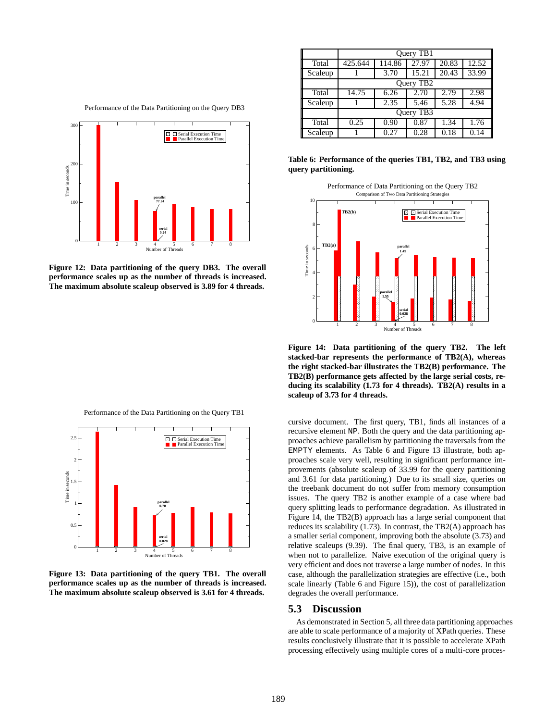|         | Query TB1 |                       |       |       |       |  |  |  |
|---------|-----------|-----------------------|-------|-------|-------|--|--|--|
| Total   | 425.644   | 114.86                | 27.97 | 20.83 | 12.52 |  |  |  |
| Scaleup |           | 3.70                  | 15.21 |       | 33.99 |  |  |  |
|         |           | Query TB <sub>2</sub> |       |       |       |  |  |  |
| Total   | 14.75     | 6.26                  | 2.70  | 2.79  | 2.98  |  |  |  |
| Scaleup |           | 2.35                  | 5.46  | 5.28  | 4.94  |  |  |  |
|         | Query TB3 |                       |       |       |       |  |  |  |
| Total   | 0.25      | 0.90                  | 0.87  | 1.34  | 1.76  |  |  |  |
| Scaleup |           | 0.27                  | 0.28  | 0.18  | 0.14  |  |  |  |

**Table 6: Performance of the queries TB1, TB2, and TB3 using query partitioning.**

Performance of Data Partitioning on the Query TB2 Comparison of Two Data Partitioning Strategies



**Figure 14: Data partitioning of the query TB2. The left stacked-bar represents the performance of TB2(A), whereas the right stacked-bar illustrates the TB2(B) performance. The TB2(B) performance gets affected by the large serial costs, reducing its scalability (1.73 for 4 threads). TB2(A) results in a scaleup of 3.73 for 4 threads.**

cursive document. The first query, TB1, finds all instances of a recursive element NP. Both the query and the data partitioning approaches achieve parallelism by partitioning the traversals from the EMPTY elements. As Table 6 and Figure 13 illustrate, both approaches scale very well, resulting in significant performance improvements (absolute scaleup of 33.99 for the query partitioning and 3.61 for data partitioning.) Due to its small size, queries on the treebank document do not suffer from memory consumption issues. The query TB2 is another example of a case where bad query splitting leads to performance degradation. As illustrated in Figure 14, the TB2(B) approach has a large serial component that reduces its scalability (1.73). In contrast, the TB2(A) approach has a smaller serial component, improving both the absolute (3.73) and relative scaleups (9.39). The final query, TB3, is an example of when not to parallelize. Naive execution of the original query is very efficient and does not traverse a large number of nodes. In this case, although the parallelization strategies are effective (i.e., both scale linearly (Table 6 and Figure 15)), the cost of parallelization degrades the overall performance.

# **5.3 Discussion**

As demonstrated in Section 5, all three data partitioning approaches are able to scale performance of a majority of XPath queries. These results conclusively illustrate that it is possible to accelerate XPath processing effectively using multiple cores of a multi-core proces-

Performance of the Data Partitioning on the Query DB3



**Figure 12: Data partitioning of the query DB3. The overall performance scales up as the number of threads is increased. The maximum absolute scaleup observed is 3.89 for 4 threads.**

Performance of the Data Partitioning on the Query TB1



**Figure 13: Data partitioning of the query TB1. The overall performance scales up as the number of threads is increased. The maximum absolute scaleup observed is 3.61 for 4 threads.**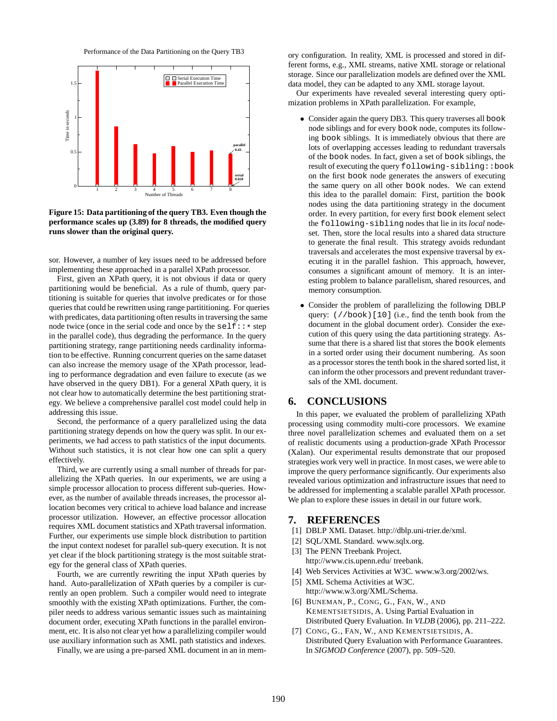Performance of the Data Partitioning on the Query TB3



**Figure 15: Data partitioning of the query TB3. Even though the performance scales up (3.89) for 8 threads, the modified query runs slower than the original query.**

sor. However, a number of key issues need to be addressed before implementing these approached in a parallel XPath processor.

First, given an XPath query, it is not obvious if data or query partitioning would be beneficial. As a rule of thumb, query partitioning is suitable for queries that involve predicates or for those queries that could be rewritten using range partititioning. For queries with predicates, data partitioning often results in traversing the same node twice (once in the serial code and once by the  $\text{self}:$ :  $\star$  step in the parallel code), thus degrading the performance. In the query partitioning strategy, range partitioning needs cardinality information to be effective. Running concurrent queries on the same dataset can also increase the memory usage of the XPath processor, leading to performance degradation and even failure to execute (as we have observed in the query DB1). For a general XPath query, it is not clear how to automatically determine the best partitioning strategy. We believe a comprehensive parallel cost model could help in addressing this issue.

Second, the performance of a query parallelized using the data partitioning strategy depends on how the query was split. In our experiments, we had access to path statistics of the input documents. Without such statistics, it is not clear how one can split a query effectively.

Third, we are currently using a small number of threads for parallelizing the XPath queries. In our experiments, we are using a simple processor allocation to process different sub-queries. However, as the number of available threads increases, the processor allocation becomes very critical to achieve load balance and increase processor utilization. However, an effective processor allocation requires XML document statistics and XPath traversal information. Further, our experiments use simple block distribution to partition the input context nodeset for parallel sub-query execution. It is not yet clear if the block partitioning strategy is the most suitable strategy for the general class of XPath queries.

Fourth, we are currently rewriting the input XPath queries by hand. Auto-parallelization of XPath queries by a compiler is currently an open problem. Such a compiler would need to integrate smoothly with the existing XPath optimizations. Further, the compiler needs to address various semantic issues such as maintaining document order, executing XPath functions in the parallel environment, etc. It is also not clear yet how a parallelizing compiler would use auxiliary information such as XML path statistics and indexes.

Finally, we are using a pre-parsed XML document in an in mem-

ory configuration. In reality, XML is processed and stored in different forms, e.g., XML streams, native XML storage or relational storage. Since our parallelization models are defined over the XML data model, they can be adapted to any XML storage layout.

Our experiments have revealed several interesting query optimization problems in XPath parallelization. For example,

- Consider again the query DB3. This query traverses all book node siblings and for every book node, computes its following book siblings. It is immediately obvious that there are lots of overlapping accesses leading to redundant traversals of the book nodes. In fact, given a set of book siblings, the result of executing the query following-sibling::book on the first book node generates the answers of executing the same query on all other book nodes. We can extend this idea to the parallel domain: First, partition the book nodes using the data partitioning strategy in the document order. In every partition, for every first book element select the following-sibling nodes that lie in its *local* nodeset. Then, store the local results into a shared data structure to generate the final result. This strategy avoids redundant traversals and accelerates the most expensive traversal by executing it in the parallel fashion. This approach, however, consumes a significant amount of memory. It is an interesting problem to balance parallelism, shared resources, and memory consumption.
- Consider the problem of parallelizing the following DBLP query: (//book)[10] (i.e., find the tenth book from the document in the global document order). Consider the execution of this query using the data partitioning strategy. Assume that there is a shared list that stores the book elements in a sorted order using their document numbering. As soon as a processor stores the tenth book in the shared sorted list, it can inform the other processors and prevent redundant traversals of the XML document.

# **6. CONCLUSIONS**

In this paper, we evaluated the problem of parallelizing XPath processing using commodity multi-core processors. We examine three novel parallelization schemes and evaluated them on a set of realistic documents using a production-grade XPath Processor (Xalan). Our experimental results demonstrate that our proposed strategies work very well in practice. In most cases, we were able to improve the query performance significantly. Our experiments also revealed various optimization and infrastructure issues that need to be addressed for implementing a scalable parallel XPath processor. We plan to explore these issues in detail in our future work.

#### **7. REFERENCES**

- [1] DBLP XML Dataset. http://dblp.uni-trier.de/xml.
- [2] SOL/XML Standard. www.sqlx.org.
- [3] The PENN Treebank Project. http://www.cis.upenn.edu/ treebank.
- [4] Web Services Activities at W3C. www.w3.org/2002/ws.
- [5] XML Schema Activities at W3C. http://www.w3.org/XML/Schema.
- [6] BUNEMAN, P., CONG, G., FAN, W., AND KEMENTSIETSIDIS, A. Using Partial Evaluation in Distributed Query Evaluation. In *VLDB* (2006), pp. 211–222.
- [7] CONG, G., FAN, W., AND KEMENTSIETSIDIS, A. Distributed Query Evaluation with Performance Guarantees. In *SIGMOD Conference* (2007), pp. 509–520.